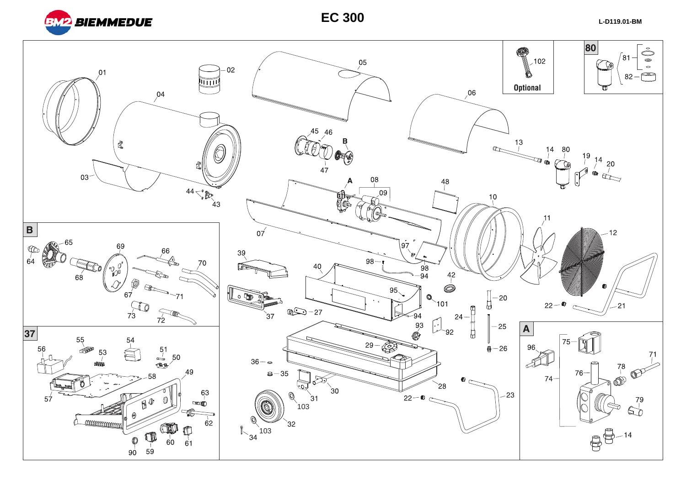

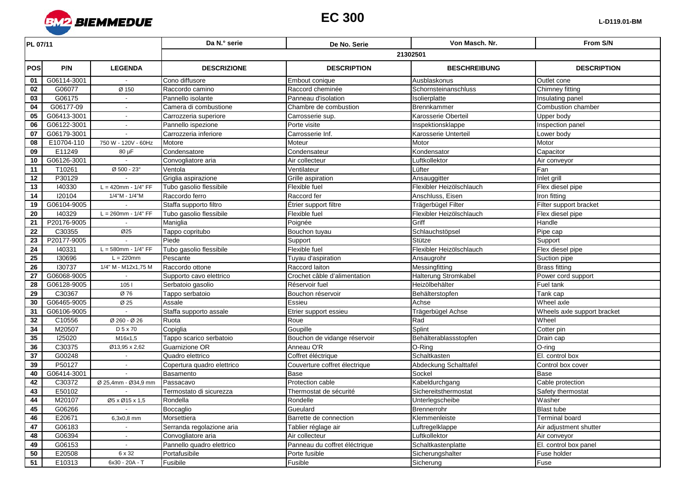

| PL 07/11        |             |                          | Da N.º serie               | De No. Serie                  | Von Masch, Nr.           | From S/N                    |  |  |
|-----------------|-------------|--------------------------|----------------------------|-------------------------------|--------------------------|-----------------------------|--|--|
|                 |             |                          | 21302501                   |                               |                          |                             |  |  |
| <b>POS</b>      | P/N         | <b>LEGENDA</b>           | <b>DESCRIZIONE</b>         | <b>DESCRIPTION</b>            | <b>BESCHREIBUNG</b>      | <b>DESCRIPTION</b>          |  |  |
| 01              | G06114-3001 |                          | Cono diffusore             | Embout conique                | Ausblaskonus             | Outlet cone                 |  |  |
| 02              | G06077      | Ø 150                    | Raccordo camino            | Raccord cheminée              | Schornsteinanschluss     | Chimney fitting             |  |  |
| 03              | G06175      | $\blacksquare$           | Pannello isolante          | Panneau d'isolation           | Isolierplatte            | Insulating panel            |  |  |
| 04              | G06177-09   | $\sim$                   | Camera di combustione      | Chambre de combustion         | Brennkammer              | Combustion chamber          |  |  |
| 05              | G06413-3001 | $\blacksquare$           | Carrozzeria superiore      | Carrosserie sup.              | Karosserie Oberteil      | Upper body                  |  |  |
| 06              | G06122-3001 | $\sim$                   | Pannello ispezione         | Porte visite                  | Inspektionsklappe        | Inspection panel            |  |  |
| $\overline{07}$ | G06179-3001 |                          | Carrozzeria inferiore      | Carrosserie Inf.              | Karosserie Unterteil     | Lower body                  |  |  |
| 08              | E10704-110  | 750 W - 120V - 60Hz      | Motore                     | Moteur                        | Motor                    | Motor                       |  |  |
| 09              | E11249      | $80 \mu F$               | Condensatore               | Condensateur                  | Kondensator              | Capacitor                   |  |  |
| 10              | G06126-3001 |                          | Convogliatore aria         | Air collecteur                | Luftkollektor            | Air conveyor                |  |  |
| 11              | T10261      | Ø 500 - 23°              | Ventola                    | Ventilateur                   | Lüfter                   | Fan                         |  |  |
| 12              | P30129      |                          | Griglia aspirazione        | Grille aspiration             | Ansauggitter             | Inlet grill                 |  |  |
| 13              | 140330      | $L = 420$ mm - $1/4" FF$ | Tubo gasolio flessibile    | Flexible fuel                 | Flexibler Heizölschlauch | Flex diesel pipe            |  |  |
| 14              | 120104      | 1/4"M - 1/4"M            | Raccordo ferro             | Raccord fer                   | Anschluss, Eisen         | Iron fitting                |  |  |
| 19              | G06104-9005 |                          | Staffa supporto filtro     | Etrier support filtre         | Trägerbügel Filter       | Filter support bracket      |  |  |
| 20              | 140329      | $L = 260$ mm - $1/4" FF$ | Tubo gasolio flessibile    | Flexible fuel                 | Flexibler Heizölschlauch | Flex diesel pipe            |  |  |
| 21              | P20176-9005 |                          | Maniglia                   | Poignée                       | Griff                    | Handle                      |  |  |
| 22              | C30355      | Ø25                      | Tappo copritubo            | Bouchon tuyau                 | Schlauchstöpsel          | Pipe cap                    |  |  |
| 23              | P20177-9005 |                          | Piede                      | Support                       | Stütze                   | Support                     |  |  |
| $\overline{24}$ | 140331      | $L = 580$ mm - $1/4" FF$ | Tubo gasolio flessibile    | Flexible fuel                 | Flexibler Heizölschlauch | Flex diesel pipe            |  |  |
| 25              | 130696      | $L = 220$ mm             | Pescante                   | Tuyau d'aspiration            | Ansaugrohr               | Suction pipe                |  |  |
| 26              | 130737      | 1/4" M - M12x1,75 M      | Raccordo ottone            | Raccord laiton                | Messingfitting           | <b>Brass fitting</b>        |  |  |
| 27              | G06068-9005 |                          | Supporto cavo elettrico    | Crochet câble d'alimentation  | Halterung Stromkabel     | Power cord support          |  |  |
| 28              | G06128-9005 | 105 <sub>1</sub>         | Serbatoio gasolio          | Réservoir fuel                | Heizölbehälter           | Fuel tank                   |  |  |
| 29              | C30367      | Ø 76                     | Tappo serbatoio            | Bouchon réservoir             | Behälterstopfen          | Tank cap                    |  |  |
| 30              | G06465-9005 | Ø 25                     | Assale                     | Essieu                        | Achse                    | Wheel axle                  |  |  |
| 31              | G06106-9005 |                          | Staffa supporto assale     | Etrier support essieu         | Trägerbügel Achse        | Wheels axle support bracket |  |  |
| 32              | C10556      | Ø 260 - Ø 26             | Ruota                      | Roue                          | Rad                      | Wheel                       |  |  |
| 34              | M20507      | D 5 x 70                 | Copiglia                   | Goupille                      | Splint                   | Cotter pin                  |  |  |
| 35              | 125020      | M16x1,5                  | Tappo scarico serbatoio    | Bouchon de vidange réservoir  | Behälterablassstopfen    | Drain cap                   |  |  |
| 36              | C30375      | Ø13,95 x 2,62            | Guarnizione OR             | Anneau O'R                    | O-Ring                   | O-ring                      |  |  |
| $\overline{37}$ | G00248      |                          | Quadro elettrico           | Coffret éléctrique            | Schaltkasten             | El. control box             |  |  |
| 39              | P50127      |                          | Copertura quadro elettrico | Couverture coffret électrique | Abdeckung Schalttafel    | Control box cover           |  |  |
| 40              | G06414-3001 |                          | Basamento                  | Base                          | Sockel                   | <b>Base</b>                 |  |  |
| 42              | C30372      | Ø 25,4mm - Ø34,9 mm      | Passacavo                  | Protection cable              | Kabeldurchgang           | Cable protection            |  |  |
| 43              | E50102      |                          | Termostato di sicurezza    | Thermostat de sécurité        | Sichereitsthermostat     | Safety thermostat           |  |  |
| $\overline{44}$ | M20107      | Ø5 x Ø15 x 1.5           | Rondella                   | Rondelle                      | Unterlegscheibe          | Washer                      |  |  |
| 45              | G06266      | $\sim$                   | Boccaglio                  | Gueulard                      | Brennerrohr              | <b>Blast tube</b>           |  |  |
| 46              | E20671      | 6,3x0,8 mm               | Morsettiera                | Barrette de connection        | Klemmenleiste            | <b>Terminal board</b>       |  |  |
| 47              | G06183      | $\sim$                   | Serranda regolazione aria  | Tablier réglage air           | Luftregelklappe          | Air adjustment shutter      |  |  |
| 48              | G06394      |                          | Convogliatore aria         | Air collecteur                | Luftkollektor            | Air conveyor                |  |  |
| 49              | G06153      | $\sim$                   | Pannello quadro elettrico  | Panneau du coffret éléctrique | Schaltkastenplatte       | El. control box panel       |  |  |
| 50              | E20508      | 6 x 32                   | Portafusibile              | Porte fusible                 | Sicherungshalter         | Fuse holder                 |  |  |
| 51              | E10313      | 6x30 - 20A - T           | Fusibile                   | Fusible                       | Sicherung                | Fuse                        |  |  |